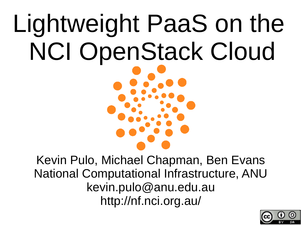# Lightweight PaaS on the NCI OpenStack Cloud

Kevin Pulo, Michael Chapman, Ben Evans National Computational Infrastructure, ANU kevin.pulo@anu.edu.au http://nf.nci.org.au/

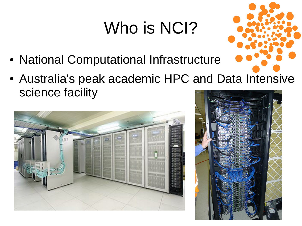#### Who is NCI?

- National Computational Infrastructure
- Australia's peak academic HPC and Data Intensive science facility



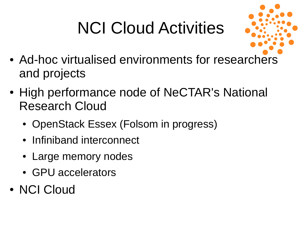### NCI Cloud Activities



- Ad-hoc virtualised environments for researchers and projects
- High performance node of NeCTAR's National Research Cloud
	- OpenStack Essex (Folsom in progress)
	- Infiniband interconnect
	- Large memory nodes
	- GPU accelerators
- NCI Cloud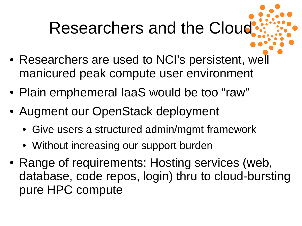#### Researchers and the Cloud

- Researchers are used to NCI's persistent, well manicured peak compute user environment
- Plain emphemeral laaS would be too "raw"
- Augment our OpenStack deployment
	- Give users a structured admin/mgmt framework
	- Without increasing our support burden
- Range of requirements: Hosting services (web, database, code repos, login) thru to cloud-bursting pure HPC compute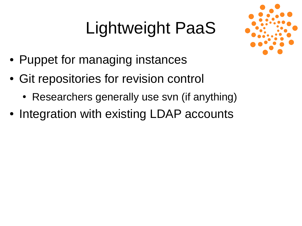#### Lightweight PaaS



- Puppet for managing instances
- Git repositories for revision control
	- Researchers generally use svn (if anything)
- Integration with existing LDAP accounts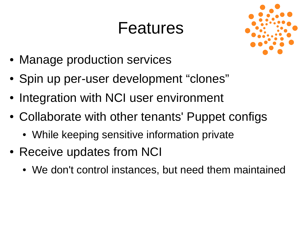#### Features



- Manage production services
- Spin up per-user development "clones"
- Integration with NCI user environment
- Collaborate with other tenants' Puppet configs
	- While keeping sensitive information private
- Receive updates from NCI
	- We don't control instances, but need them maintained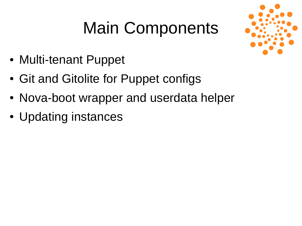#### Main Components



- Multi-tenant Puppet
- Git and Gitolite for Puppet configs
- Nova-boot wrapper and userdata helper
- Updating instances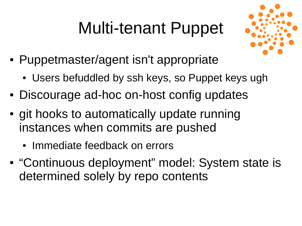#### Multi-tenant Puppet



- Puppetmaster/agent isn't appropriate
	- Users befuddled by ssh keys, so Puppet keys ugh
- Discourage ad-hoc on-host config updates
- git hooks to automatically update running instances when commits are pushed
	- Immediate feedback on errors
- "Continuous deployment" model: System state is determined solely by repo contents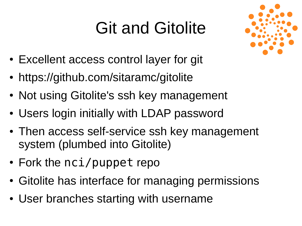#### Git and Gitolite



- Excellent access control layer for git
- https://github.com/sitaramc/gitolite
- Not using Gitolite's ssh key management
- Users login initially with LDAP password
- Then access self-service ssh key management system (plumbed into Gitolite)
- $\cdot$  Fork the nci/puppet repo
- Gitolite has interface for managing permissions
- User branches starting with username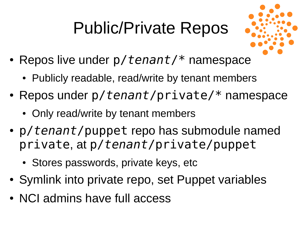#### Public/Private Repos



- Repos live under  $p/\text{tenant}$  namespace
	- Publicly readable, read/write by tenant members
- Repos under p/*tenant*/private/\* namespace
	- Only read/write by tenant members
- p/*tenant*/puppet repo has submodule named private, at p/*tenant*/private/puppet
	- Stores passwords, private keys, etc
- Symlink into private repo, set Puppet variables
- NCI admins have full access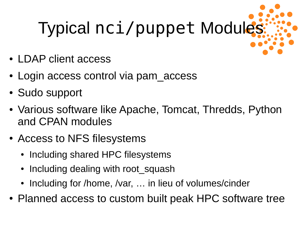# Typical nci/puppet Modules

- LDAP client access
- Login access control via pam access
- Sudo support
- Various software like Apache, Tomcat, Thredds, Python and CPAN modules
- Access to NFS filesystems
	- Including shared HPC filesystems
	- Including dealing with root squash
	- Including for /home, /var, ... in lieu of volumes/cinder
- Planned access to custom built peak HPC software tree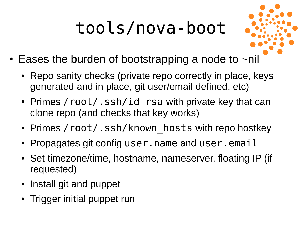## tools/nova-boot



- Eases the burden of bootstrapping a node to  $\neg$ nil
	- Repo sanity checks (private repo correctly in place, keys generated and in place, git user/email defined, etc)
	- Primes / root/.ssh/id rsa with private key that can clone repo (and checks that key works)
	- Primes / root/.ssh/known hosts with repo hostkey
	- Propagates git config user.name and user.email
	- Set timezone/time, hostname, nameserver, floating IP (if requested)
	- Install git and puppet
	- Trigger initial puppet run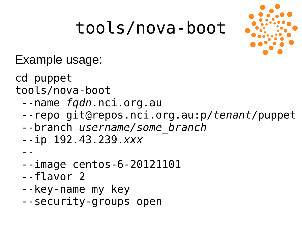#### tools/nova-boot



Example usage:

cd puppet

- tools/nova-boot
	- --name *fqdn*.nci.org.au
	- --repo git@repos.nci.org.au:p/*tenant*/puppet
	- --branch *username/some\_branch*
	- --ip 192.43.239.*xxx*

--

- --image centos-6-20121101
- --flavor 2
- --key-name my key
- --security-groups open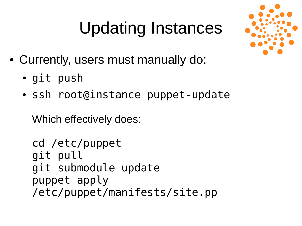#### Updating Instances



- Currently, users must manually do:
	- git push
	- ssh root@instance puppet-update

Which effectively does:

```
cd /etc/puppet
git pull
git submodule update
puppet apply 
/etc/puppet/manifests/site.pp
```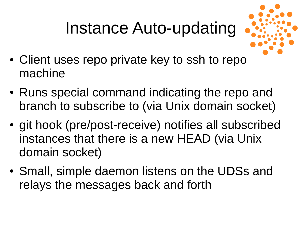#### Instance Auto-updating



- Client uses repo private key to ssh to repo machine
- Runs special command indicating the repo and branch to subscribe to (via Unix domain socket)
- git hook (pre/post-receive) notifies all subscribed instances that there is a new HEAD (via Unix domain socket)
- Small, simple daemon listens on the UDSs and relays the messages back and forth